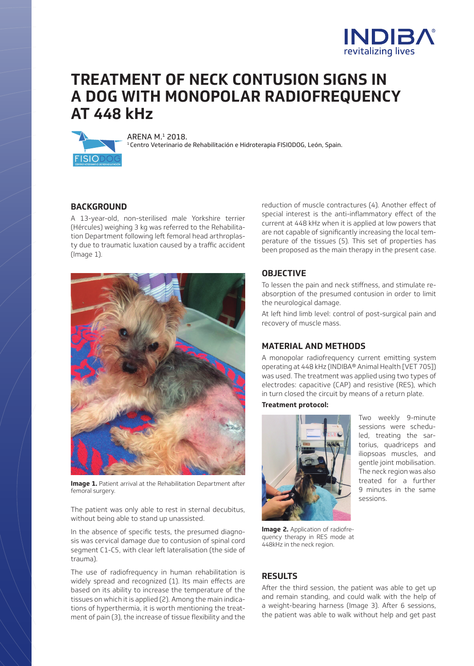

# **TREATMENT OF NECK CONTUSION SIGNS IN A DOG WITH MONOPOLAR RADIOFREQUENCY AT 448 kHz**



ARENA M.<sup>1</sup> 2018.<br><sup>1</sup> Centro Veterinario de Rehabilitación e Hidroterapia FISIODOG, León, Spain.

## **BACKGROUND**

A 13-year-old, non-sterilised male Yorkshire terrier (Hércules) weighing 3 kg was referred to the Rehabilitation Department following left femoral head arthroplasty due to traumatic luxation caused by a traffic accident (Image 1).



**Image 1.** Patient arrival at the Rehabilitation Department after femoral surgery.

The patient was only able to rest in sternal decubitus, without being able to stand up unassisted.

In the absence of specific tests, the presumed diagnosis was cervical damage due to contusion of spinal cord segment C1-C5, with clear left lateralisation (the side of trauma).

The use of radiofrequency in human rehabilitation is widely spread and recognized (1). Its main effects are based on its ability to increase the temperature of the tissues on which it is applied (2). Among the main indications of hyperthermia, it is worth mentioning the treatment of pain (3), the increase of tissue flexibility and the reduction of muscle contractures (4). Another effect of special interest is the anti-inflammatory effect of the current at 448 kHz when it is applied at low powers that are not capable of significantly increasing the local temperature of the tissues (5). This set of properties has been proposed as the main therapy in the present case.

## **OBJECTIVE**

To lessen the pain and neck stiffness, and stimulate reabsorption of the presumed contusion in order to limit the neurological damage.

At left hind limb level: control of post-surgical pain and recovery of muscle mass.

## **MATERIAL AND METHODS**

A monopolar radiofrequency current emitting system operating at 448 kHz (INDIBA® Animal Health [VET 705]) was used. The treatment was applied using two types of electrodes: capacitive (CAP) and resistive (RES), which in turn closed the circuit by means of a return plate.

#### **Treatment protocol:**



Two weekly 9-minute sessions were scheduled, treating the sartorius, quadriceps and iliopsoas muscles, and gentle joint mobilisation. The neck region was also treated for a further 9 minutes in the same sessions.

**Image 2.** Application of radiofrequency therapy in RES mode at 448kHz in the neck region.

### **RESULTS**

After the third session, the patient was able to get up and remain standing, and could walk with the help of a weight-bearing harness (Image 3). After 6 sessions, the patient was able to walk without help and get past